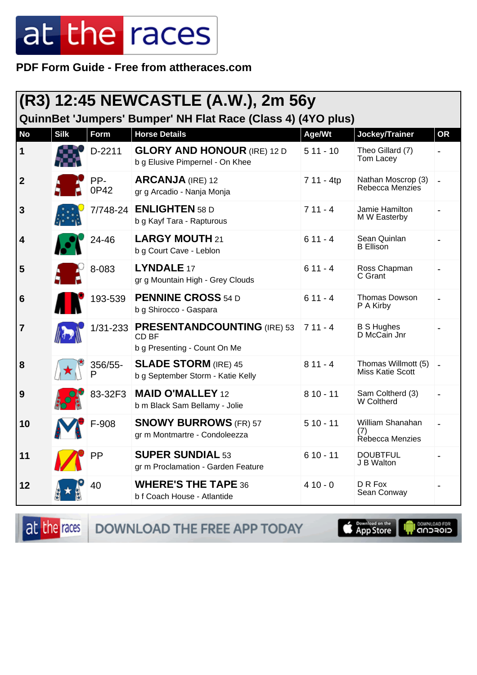**PDF Form Guide - Free from attheraces.com**

| (R3) 12:45 NEWCASTLE (A.W.), 2m 56y<br>QuinnBet 'Jumpers' Bumper' NH Flat Race (Class 4) (4YO plus) |             |              |                                                                               |            |                                                |           |  |
|-----------------------------------------------------------------------------------------------------|-------------|--------------|-------------------------------------------------------------------------------|------------|------------------------------------------------|-----------|--|
| <b>No</b>                                                                                           | <b>Silk</b> | Form         | <b>Horse Details</b>                                                          | Age/Wt     | Jockey/Trainer                                 | <b>OR</b> |  |
| 1                                                                                                   |             | D-2211       | <b>GLORY AND HONOUR (IRE) 12 D</b><br>b g Elusive Pimpernel - On Khee         | $511 - 10$ | Theo Gillard (7)<br>Tom Lacey                  |           |  |
| $\boldsymbol{2}$                                                                                    |             | PP-<br>0P42  | <b>ARCANJA</b> (IRE) 12<br>gr g Arcadio - Nanja Monja                         | 7 11 - 4tp | Nathan Moscrop (3)<br>Rebecca Menzies          |           |  |
| 3                                                                                                   |             | 7/748-24     | <b>ENLIGHTEN</b> 58 D<br>b g Kayf Tara - Rapturous                            | $711 - 4$  | Jamie Hamilton<br>M W Easterby                 |           |  |
| 4                                                                                                   |             | 24-46        | <b>LARGY MOUTH 21</b><br>b g Court Cave - Leblon                              | $611 - 4$  | Sean Quinlan<br><b>B</b> Ellison               |           |  |
| 5                                                                                                   |             | 8-083        | LYNDALE 17<br>gr g Mountain High - Grey Clouds                                | $611 - 4$  | Ross Chapman<br>C Grant                        |           |  |
| 6                                                                                                   |             | 193-539      | <b>PENNINE CROSS 54 D</b><br>b g Shirocco - Gaspara                           | $611 - 4$  | Thomas Dowson<br>P A Kirby                     |           |  |
| 7                                                                                                   |             |              | 1/31-233 PRESENTANDCOUNTING (IRE) 53<br>CD BF<br>b g Presenting - Count On Me | $711 - 4$  | <b>B S Hughes</b><br>D McCain Jnr              |           |  |
| 8                                                                                                   |             | 356/55-<br>P | <b>SLADE STORM (IRE) 45</b><br>b g September Storm - Katie Kelly              | $811 - 4$  | Thomas Willmott (5)<br><b>Miss Katie Scott</b> |           |  |
| 9                                                                                                   |             | 83-32F3      | <b>MAID O'MALLEY 12</b><br>b m Black Sam Bellamy - Jolie                      | $810 - 11$ | Sam Coltherd (3)<br>W Coltherd                 |           |  |
| 10                                                                                                  |             | F-908        | <b>SNOWY BURROWS (FR) 57</b><br>gr m Montmartre - Condoleezza                 | $510 - 11$ | William Shanahan<br>(7)<br>Rebecca Menzies     |           |  |
| 11                                                                                                  |             | PP           | <b>SUPER SUNDIAL 53</b><br>gr m Proclamation - Garden Feature                 | $610 - 11$ | <b>DOUBTFUL</b><br>J B Walton                  |           |  |
| 12                                                                                                  |             | 40           | <b>WHERE'S THE TAPE 36</b><br>b f Coach House - Atlantide                     | $410 - 0$  | D R Fox<br>Sean Conway                         |           |  |

at the races

DOWNLOAD THE FREE APP TODAY

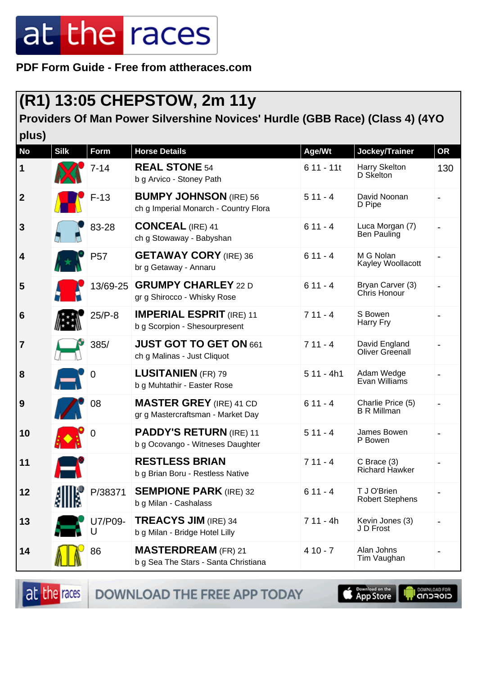**PDF Form Guide - Free from attheraces.com**

### **(R1) 13:05 CHEPSTOW, 2m 11y**

#### **Providers Of Man Power Silvershine Novices' Hurdle (GBB Race) (Class 4) (4YO**

| plus)           |             |                                                                                                                                                                                                                                                                                                                     |                                                                        |             |                                         |           |
|-----------------|-------------|---------------------------------------------------------------------------------------------------------------------------------------------------------------------------------------------------------------------------------------------------------------------------------------------------------------------|------------------------------------------------------------------------|-------------|-----------------------------------------|-----------|
| <b>No</b>       | <b>Silk</b> | <b>Form</b>                                                                                                                                                                                                                                                                                                         | <b>Horse Details</b>                                                   | Age/Wt      | Jockey/Trainer                          | <b>OR</b> |
| $\mathbf 1$     |             | $7 - 14$                                                                                                                                                                                                                                                                                                            | <b>REAL STONE 54</b><br>b g Arvico - Stoney Path                       | $611 - 11t$ | Harry Skelton<br>D Skelton              | 130       |
| $\overline{2}$  |             | $F-13$                                                                                                                                                                                                                                                                                                              | <b>BUMPY JOHNSON</b> (IRE) 56<br>ch g Imperial Monarch - Country Flora | $511 - 4$   | David Noonan<br>D Pipe                  |           |
| $\mathbf{3}$    |             | 83-28                                                                                                                                                                                                                                                                                                               | <b>CONCEAL (IRE) 41</b><br>ch g Stowaway - Babyshan                    | $611 - 4$   | Luca Morgan (7)<br>Ben Pauling          |           |
| 4               |             | P <sub>57</sub>                                                                                                                                                                                                                                                                                                     | <b>GETAWAY CORY</b> (IRE) 36<br>br g Getaway - Annaru                  | $611 - 4$   | M G Nolan<br>Kayley Woollacott          |           |
| 5               |             | 13/69-25                                                                                                                                                                                                                                                                                                            | <b>GRUMPY CHARLEY 22 D</b><br>gr g Shirocco - Whisky Rose              | $611 - 4$   | Bryan Carver (3)<br>Chris Honour        |           |
| $6\phantom{1}6$ |             | $25/P-8$                                                                                                                                                                                                                                                                                                            | <b>IMPERIAL ESPRIT (IRE) 11</b><br>b g Scorpion - Shesourpresent       | $711 - 4$   | S Bowen<br>Harry Fry                    |           |
| $\overline{7}$  |             | 385/                                                                                                                                                                                                                                                                                                                | JUST GOT TO GET ON 661<br>ch g Malinas - Just Cliquot                  | $711 - 4$   | David England<br>Oliver Greenall        |           |
| 8               |             | $\boldsymbol{0}$                                                                                                                                                                                                                                                                                                    | <b>LUSITANIEN (FR) 79</b><br>b g Muhtathir - Easter Rose               | $511 - 4h1$ | Adam Wedge<br>Evan Williams             |           |
| 9               |             | 08                                                                                                                                                                                                                                                                                                                  | <b>MASTER GREY</b> (IRE) 41 CD<br>gr g Mastercraftsman - Market Day    | $611 - 4$   | Charlie Price (5)<br><b>B R Millman</b> |           |
| 10              |             |                                                                                                                                                                                                                                                                                                                     | <b>PADDY'S RETURN (IRE) 11</b><br>b g Ocovango - Witneses Daughter     | $511 - 4$   | James Bowen<br>P Bowen                  |           |
| 11              |             |                                                                                                                                                                                                                                                                                                                     | <b>RESTLESS BRIAN</b><br>b g Brian Boru - Restless Native              | $711 - 4$   | $C$ Brace $(3)$<br>Richard Hawker       |           |
| 12              |             | $\frac{1}{2}$ $\frac{1}{2}$ $\frac{1}{2}$ $\frac{1}{2}$ $\frac{1}{2}$ $\frac{1}{2}$ $\frac{1}{2}$ $\frac{1}{2}$ $\frac{1}{2}$ $\frac{1}{2}$ $\frac{1}{2}$ $\frac{1}{2}$ $\frac{1}{2}$ $\frac{1}{2}$ $\frac{1}{2}$ $\frac{1}{2}$ $\frac{1}{2}$ $\frac{1}{2}$ $\frac{1}{2}$ $\frac{1}{2}$ $\frac{1}{2}$ $\frac{1}{2}$ | <b>SEMPIONE PARK (IRE) 32</b><br>b g Milan - Cashalass                 | $611 - 4$   | T J O'Brien<br><b>Robert Stephens</b>   |           |
| 13              |             | U7/P09-<br>U                                                                                                                                                                                                                                                                                                        | <b>TREACYS JIM (IRE) 34</b><br>b g Milan - Bridge Hotel Lilly          | $711 - 4h$  | Kevin Jones (3)<br>J D Frost            |           |
| 14              |             | 86                                                                                                                                                                                                                                                                                                                  | <b>MASTERDREAM</b> (FR) 21<br>b g Sea The Stars - Santa Christiana     | $410 - 7$   | Alan Johns<br>Tim Vaughan               |           |

at the races DOWNLOAD THE FREE APP TODAY

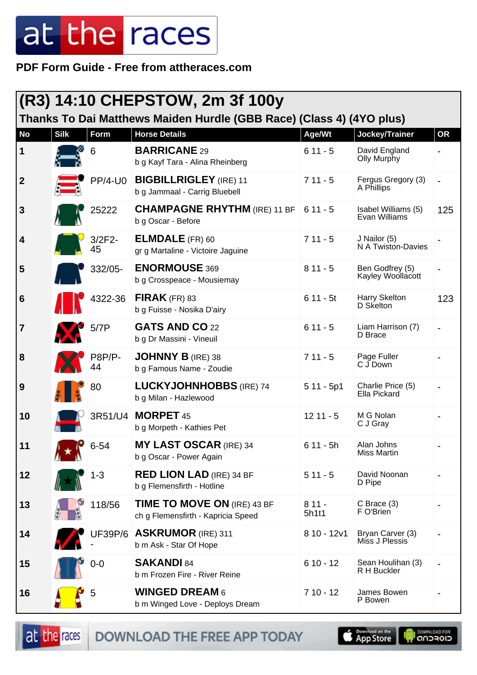**PDF Form Guide - Free from attheraces.com**

| (R3) 14:10 CHEPSTOW, 2m 3f 100y<br>Thanks To Dai Matthews Maiden Hurdle (GBB Race) (Class 4) (4YO plus) |             |                |                                                                   |                  |                                      |           |
|---------------------------------------------------------------------------------------------------------|-------------|----------------|-------------------------------------------------------------------|------------------|--------------------------------------|-----------|
| <b>No</b>                                                                                               | <b>Silk</b> | Form           | <b>Horse Details</b>                                              | Age/Wt           | Jockey/Trainer                       | <b>OR</b> |
| $\mathbf 1$                                                                                             |             | 6              | <b>BARRICANE 29</b><br>b g Kayf Tara - Alina Rheinberg            | $611 - 5$        | David England<br>Olly Murphy         |           |
| $\boldsymbol{2}$                                                                                        |             | $PP/4-U0$      | <b>BIGBILLRIGLEY</b> (IRE) 11<br>b g Jammaal - Carrig Bluebell    | $711 - 5$        | Fergus Gregory (3)<br>A Phillips     |           |
| 3                                                                                                       |             | 25222          | <b>CHAMPAGNE RHYTHM (IRE) 11 BF</b><br>b g Oscar - Before         | $611 - 5$        | Isabel Williams (5)<br>Evan Williams | 125       |
| 4                                                                                                       |             | $3/2F2-$<br>45 | <b>ELMDALE</b> (FR) 60<br>gr g Martaline - Victoire Jaguine       | $711 - 5$        | J Nailor (5)<br>N A Twiston-Davies   |           |
| 5                                                                                                       |             | 332/05-        | <b>ENORMOUSE 369</b><br>b g Crosspeace - Mousiemay                | $811 - 5$        | Ben Godfrey (5)<br>Kayley Woollacott |           |
| 6                                                                                                       |             | 4322-36        | FIRAK $(FR)$ 83<br>b g Fuisse - Nosika D'airy                     | $611 - 5t$       | Harry Skelton<br>D Skelton           | 123       |
| $\overline{\mathbf{7}}$                                                                                 |             | 5/7P           | GATS AND CO 22<br>b g Dr Massini - Vineuil                        | $611 - 5$        | Liam Harrison (7)<br>D Brace         |           |
| 8                                                                                                       |             | P8P/P-<br>44   | <b>JOHNNY B (IRE) 38</b><br>b g Famous Name - Zoudie              | $711 - 5$        | Page Fuller<br>C J Down              |           |
| 9                                                                                                       |             | 80             | <b>LUCKYJOHNHOBBS (IRE) 74</b><br>b g Milan - Hazlewood           | $511 - 5p1$      | Charlie Price (5)<br>Ella Pickard    |           |
| 10                                                                                                      |             |                | 3R51/U4   MORPET 45<br>b g Morpeth - Kathies Pet                  | $1211 - 5$       | M G Nolan<br>C J Gray                |           |
| 11                                                                                                      |             | $6 - 54$       | <b>MY LAST OSCAR (IRE) 34</b><br>b g Oscar - Power Again          | $611 - 5h$       | Alan Johns<br><b>Miss Martin</b>     |           |
| 12                                                                                                      |             | $1 - 3$        | <b>RED LION LAD (IRE) 34 BF</b><br>b g Flemensfirth - Hotline     | $511 - 5$        | David Noonan<br>D Pipe               |           |
| 13                                                                                                      |             | 118/56         | TIME TO MOVE ON (IRE) 43 BF<br>ch g Flemensfirth - Kapricia Speed | $811 -$<br>5h1t1 | $C$ Brace $(3)$<br>F O'Brien         |           |
| 14                                                                                                      |             |                | UF39P/6   ASKRUMOR (IRE) 311<br>b m Ask - Star Of Hope            | $810 - 12v1$     | Bryan Carver (3)<br>Miss J Plessis   |           |
| 15                                                                                                      |             | $0-0$          | <b>SAKANDI 84</b><br>b m Frozen Fire - River Reine                | $610 - 12$       | Sean Houlihan (3)<br>R H Buckler     |           |
| 16                                                                                                      |             | 5              | <b>WINGED DREAM 6</b><br>b m Winged Love - Deploys Dream          | $710 - 12$       | James Bowen<br>P Bowen               |           |

at the races DOWNLOAD THE FREE APP TODAY

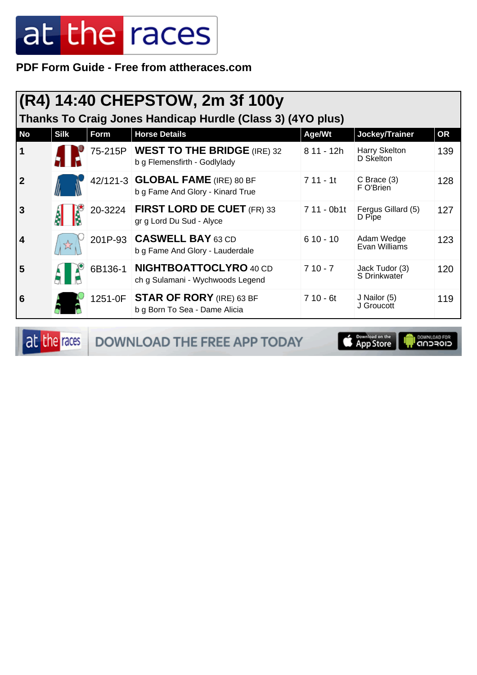**PDF Form Guide - Free from attheraces.com**

|                                                            | (R4) 14:40 CHEPSTOW, 2m 3f 100y |         |                                                                       |             |                                |           |  |  |
|------------------------------------------------------------|---------------------------------|---------|-----------------------------------------------------------------------|-------------|--------------------------------|-----------|--|--|
| Thanks To Craig Jones Handicap Hurdle (Class 3) (4YO plus) |                                 |         |                                                                       |             |                                |           |  |  |
| <b>No</b>                                                  | <b>Silk</b>                     | Form    | <b>Horse Details</b>                                                  | Age/Wt      | Jockey/Trainer                 | <b>OR</b> |  |  |
|                                                            |                                 |         | 75-215P   WEST TO THE BRIDGE (IRE) 32<br>b g Flemensfirth - Godlylady | $811 - 12h$ | Harry Skelton<br>D Skelton     | 139       |  |  |
| 2                                                          |                                 |         | 42/121-3 GLOBAL FAME (IRE) 80 BF<br>b g Fame And Glory - Kinard True  | $711 - 11$  | $C$ Brace $(3)$<br>F O'Brien   | 128       |  |  |
| 3                                                          |                                 | 20-3224 | <b>FIRST LORD DE CUET (FR) 33</b><br>gr g Lord Du Sud - Alyce         | 7 11 - 0b1t | Fergus Gillard (5)<br>D Pipe   | 127       |  |  |
| 4                                                          |                                 |         | 201P-93 CASWELL BAY 63 CD<br>b g Fame And Glory - Lauderdale          | $610 - 10$  | Adam Wedge<br>Evan Williams    | 123       |  |  |
| 5                                                          |                                 | 6B136-1 | <b>NIGHTBOATTOCLYRO 40 CD</b><br>ch g Sulamani - Wychwoods Legend     | $710 - 7$   | Jack Tudor (3)<br>S Drinkwater | 120       |  |  |
| 6                                                          |                                 |         | 1251-0F STAR OF RORY (IRE) 63 BF<br>b g Born To Sea - Dame Alicia     | $710 - 6t$  | J Nailor (5)<br>J Groucott     | 119       |  |  |

at the races DOWNLOAD THE FREE APP TODAY

App Store **OWNLOAD FOR**